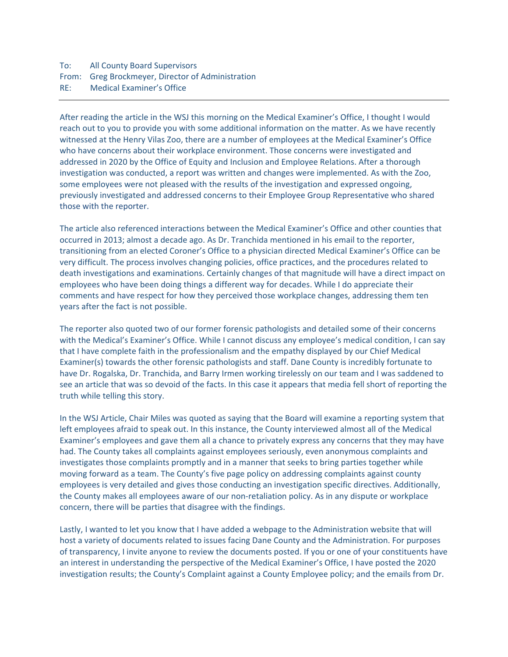## To: All County Board Supervisors From: Greg Brockmeyer, Director of Administration RE: Medical Examiner's Office

After reading the article in the WSJ this morning on the Medical Examiner's Office, I thought I would reach out to you to provide you with some additional information on the matter. As we have recently witnessed at the Henry Vilas Zoo, there are a number of employees at the Medical Examiner's Office who have concerns about their workplace environment. Those concerns were investigated and addressed in 2020 by the Office of Equity and Inclusion and Employee Relations. After a thorough investigation was conducted, a report was written and changes were implemented. As with the Zoo, some employees were not pleased with the results of the investigation and expressed ongoing, previously investigated and addressed concerns to their Employee Group Representative who shared those with the reporter.

The article also referenced interactions between the Medical Examiner's Office and other counties that occurred in 2013; almost a decade ago. As Dr. Tranchida mentioned in his email to the reporter, transitioning from an elected Coroner's Office to a physician directed Medical Examiner's Office can be very difficult. The process involves changing policies, office practices, and the procedures related to death investigations and examinations. Certainly changes of that magnitude will have a direct impact on employees who have been doing things a different way for decades. While I do appreciate their comments and have respect for how they perceived those workplace changes, addressing them ten years after the fact is not possible.

The reporter also quoted two of our former forensic pathologists and detailed some of their concerns with the Medical's Examiner's Office. While I cannot discuss any employee's medical condition, I can say that I have complete faith in the professionalism and the empathy displayed by our Chief Medical Examiner(s) towards the other forensic pathologists and staff. Dane County is incredibly fortunate to have Dr. Rogalska, Dr. Tranchida, and Barry Irmen working tirelessly on our team and I was saddened to see an article that was so devoid of the facts. In this case it appears that media fell short of reporting the truth while telling this story.

In the WSJ Article, Chair Miles was quoted as saying that the Board will examine a reporting system that left employees afraid to speak out. In this instance, the County interviewed almost all of the Medical Examiner's employees and gave them all a chance to privately express any concerns that they may have had. The County takes all complaints against employees seriously, even anonymous complaints and investigates those complaints promptly and in a manner that seeks to bring parties together while moving forward as a team. The County's five page policy on addressing complaints against county employees is very detailed and gives those conducting an investigation specific directives. Additionally, the County makes all employees aware of our non‐retaliation policy. As in any dispute or workplace concern, there will be parties that disagree with the findings.

Lastly, I wanted to let you know that I have added a webpage to the Administration website that will host a variety of documents related to issues facing Dane County and the Administration. For purposes of transparency, I invite anyone to review the documents posted. If you or one of your constituents have an interest in understanding the perspective of the Medical Examiner's Office, I have posted the 2020 investigation results; the County's Complaint against a County Employee policy; and the emails from Dr.